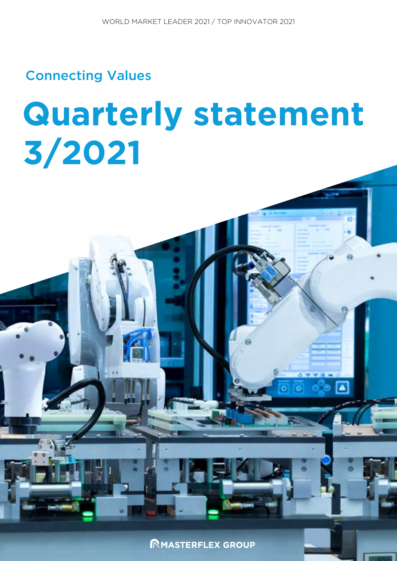Connecting Values

# **Quarterly statement 3/2021**

**INMASTERFLEX GROUP** 

∣▲

 $\overline{\mathbf{O}}$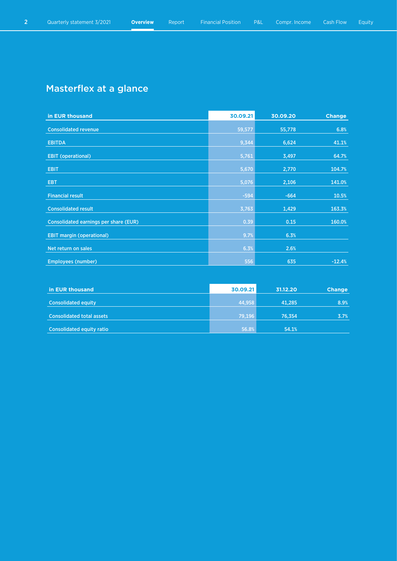## Masterflex at a glance

| in EUR thousand                              | 30.09.21 | 30.09.20 | <b>Change</b> |
|----------------------------------------------|----------|----------|---------------|
| <b>Consolidated revenue</b>                  | 59,577   | 55,778   | 6.8%          |
| <b>EBITDA</b>                                | 9,344    | 6,624    | 41.1%         |
| <b>EBIT (operational)</b>                    | 5,761    | 3,497    | 64.7%         |
|                                              |          |          |               |
| <b>EBIT</b>                                  | 5,670    | 2,770    | 104.7%        |
| <b>EBT</b>                                   | 5,076    | 2,106    | 141.0%        |
| <b>Financial result</b>                      | $-594$   | $-664$   | 10.5%         |
| <b>Consolidated result</b>                   | 3,763    | 1,429    | 163.3%        |
| <b>Consolidated earnings per share (EUR)</b> | 0.39     | 0.15     | 160.0%        |
| <b>EBIT margin (operational)</b>             | 9.7%     | 6.3%     |               |
| Net return on sales                          | 6.3%     | 2.6%     |               |
| <b>Employees (number)</b>                    | 556      | 635      | $-12.4%$      |

| in EUR thousand                  | 30.09.21 | 31.12.20 | <b>Change</b> |
|----------------------------------|----------|----------|---------------|
| <b>Consolidated equity</b>       | 44,958   | 41.285   | 8.9%          |
| <b>Consolidated total assets</b> | 79,196   | 76.354   | 3.7%          |
| Consolidated equity ratio        | 56.8%    | 54.1%    |               |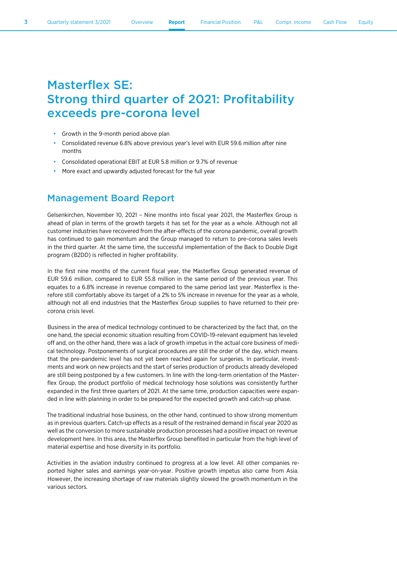# Masterflex SE: Strong third quarter of 2021: Profitability exceeds pre-corona level

- Growth in the 9-month period above plan
- Consolidated revenue 6.8% above previous year's level with EUR 59.6 million after nine months
- Consolidated operational EBIT at EUR 5.8 million or 9.7% of revenue
- More exact and upwardly adjusted forecast for the full year

### Management Board Report

Gelsenkirchen, November 10, 2021 – Nine months into fiscal year 2021, the Masterflex Group is ahead of plan in terms of the growth targets it has set for the year as a whole. Although not all customer industries have recovered from the after-effects of the corona pandemic, overall growth has continued to gain momentum and the Group managed to return to pre-corona sales levels in the third quarter. At the same time, the successful implementation of the Back to Double Digit program (B2DD) is reflected in higher profitability.

In the first nine months of the current fiscal year, the Masterflex Group generated revenue of EUR 59.6 million, compared to EUR 55.8 million in the same period of the previous year. This equates to a 6.8% increase in revenue compared to the same period last year. Masterflex is therefore still comfortably above its target of a 2% to 5% increase in revenue for the year as a whole, although not all end industries that the Masterflex Group supplies to have returned to their precorona crisis level.

Business in the area of medical technology continued to be characterized by the fact that, on the one hand, the special economic situation resulting from COVID-19-relevant equipment has leveled off and, on the other hand, there was a lack of growth impetus in the actual core business of medical technology. Postponements of surgical procedures are still the order of the day, which means that the pre-pandemic level has not yet been reached again for surgeries. In particular, investments and work on new projects and the start of series production of products already developed are still being postponed by a few customers. In line with the long-term orientation of the Masterflex Group, the product portfolio of medical technology hose solutions was consistently further expanded in the first three quarters of 2021. At the same time, production capacities were expanded in line with planning in order to be prepared for the expected growth and catch-up phase.

The traditional industrial hose business, on the other hand, continued to show strong momentum as in previous quarters. Catch-up effects as a result of the restrained demand in fiscal year 2020 as well as the conversion to more sustainable production processes had a positive impact on revenue development here. In this area, the Masterflex Group benefited in particular from the high level of material expertise and hose diversity in its portfolio.

Activities in the aviation industry continued to progress at a low level. All other companies reported higher sales and earnings year-on-year. Positive growth impetus also came from Asia. However, the increasing shortage of raw materials slightly slowed the growth momentum in the various sectors.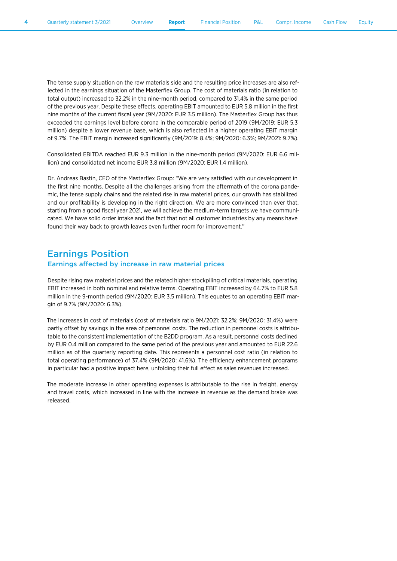The tense supply situation on the raw materials side and the resulting price increases are also reflected in the earnings situation of the Masterflex Group. The cost of materials ratio (in relation to total output) increased to 32.2% in the nine-month period, compared to 31.4% in the same period of the previous year. Despite these effects, operating EBIT amounted to EUR 5.8 million in the first nine months of the current fiscal year (9M/2020: EUR 3.5 million). The Masterflex Group has thus exceeded the earnings level before corona in the comparable period of 2019 (9M/2019: EUR 5.3 million) despite a lower revenue base, which is also reflected in a higher operating EBIT margin of 9.7%. The EBIT margin increased significantly (9M/2019: 8.4%; 9M/2020: 6.3%; 9M/2021: 9.7%).

Consolidated EBITDA reached EUR 9.3 million in the nine-month period (9M/2020: EUR 6.6 million) and consolidated net income EUR 3.8 million (9M/2020: EUR 1.4 million).

Dr. Andreas Bastin, CEO of the Masterflex Group: "We are very satisfied with our development in the first nine months. Despite all the challenges arising from the aftermath of the corona pandemic, the tense supply chains and the related rise in raw material prices, our growth has stabilized and our profitability is developing in the right direction. We are more convinced than ever that, starting from a good fiscal year 2021, we will achieve the medium-term targets we have communicated. We have solid order intake and the fact that not all customer industries by any means have found their way back to growth leaves even further room for improvement."

### Earnings Position

#### Earnings affected by increase in raw material prices

Despite rising raw material prices and the related higher stockpiling of critical materials, operating EBIT increased in both nominal and relative terms. Operating EBIT increased by 64.7% to EUR 5.8 million in the 9-month period (9M/2020: EUR 3.5 million). This equates to an operating EBIT margin of 9.7% (9M/2020: 6.3%).

The increases in cost of materials (cost of materials ratio 9M/2021: 32.2%; 9M/2020: 31.4%) were partly offset by savings in the area of personnel costs. The reduction in personnel costs is attributable to the consistent implementation of the B2DD program. As a result, personnel costs declined by EUR 0.4 million compared to the same period of the previous year and amounted to EUR 22.6 million as of the quarterly reporting date. This represents a personnel cost ratio (in relation to total operating performance) of 37.4% (9M/2020: 41.6%). The efficiency enhancement programs in particular had a positive impact here, unfolding their full effect as sales revenues increased.

The moderate increase in other operating expenses is attributable to the rise in freight, energy and travel costs, which increased in line with the increase in revenue as the demand brake was released.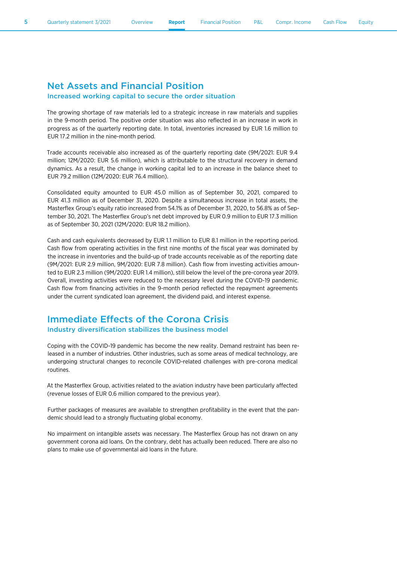#### Net Assets and Financial Position Increased working capital to secure the order situation

EUR 17.2 million in the nine-month period.

#### The growing shortage of raw materials led to a strategic increase in raw materials and supplies in the 9-month period. The positive order situation was also reflected in an increase in work in progress as of the quarterly reporting date. In total, inventories increased by EUR 1.6 million to

Trade accounts receivable also increased as of the quarterly reporting date (9M/2021: EUR 9.4 million; 12M/2020: EUR 5.6 million), which is attributable to the structural recovery in demand dynamics. As a result, the change in working capital led to an increase in the balance sheet to EUR 79.2 million (12M/2020: EUR 76.4 million).

Consolidated equity amounted to EUR 45.0 million as of September 30, 2021, compared to EUR 41.3 million as of December 31, 2020. Despite a simultaneous increase in total assets, the Masterflex Group's equity ratio increased from 54.1% as of December 31, 2020, to 56.8% as of September 30, 2021. The Masterflex Group's net debt improved by EUR 0.9 million to EUR 17.3 million as of September 30, 2021 (12M/2020: EUR 18.2 million).

Cash and cash equivalents decreased by EUR 1.1 million to EUR 8.1 million in the reporting period. Cash flow from operating activities in the first nine months of the fiscal year was dominated by the increase in inventories and the build-up of trade accounts receivable as of the reporting date (9M/2021: EUR 2.9 million, 9M/2020: EUR 7.8 million). Cash flow from investing activities amounted to EUR 2.3 million (9M/2020: EUR 1.4 million), still below the level of the pre-corona year 2019. Overall, investing activities were reduced to the necessary level during the COVID-19 pandemic. Cash flow from financing activities in the 9-month period reflected the repayment agreements under the current syndicated loan agreement, the dividend paid, and interest expense.

### Immediate Effects of the Corona Crisis Industry diversification stabilizes the business model

Coping with the COVID-19 pandemic has become the new reality. Demand restraint has been released in a number of industries. Other industries, such as some areas of medical technology, are undergoing structural changes to reconcile COVID-related challenges with pre-corona medical routines.

At the Masterflex Group, activities related to the aviation industry have been particularly affected (revenue losses of EUR 0.6 million compared to the previous year).

Further packages of measures are available to strengthen profitability in the event that the pandemic should lead to a strongly fluctuating global economy.

No impairment on intangible assets was necessary. The Masterflex Group has not drawn on any government corona aid loans. On the contrary, debt has actually been reduced. There are also no plans to make use of governmental aid loans in the future.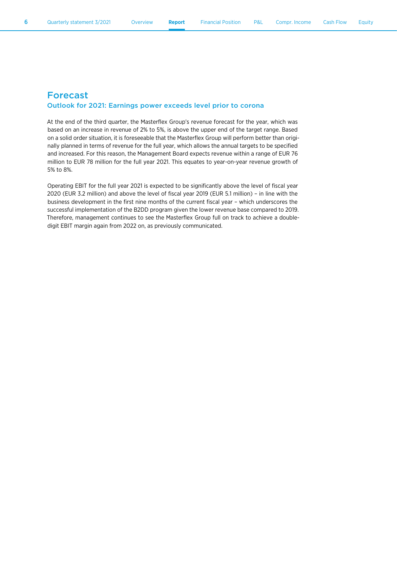#### Forecast

#### Outlook for 2021: Earnings power exceeds level prior to corona

At the end of the third quarter, the Masterflex Group's revenue forecast for the year, which was based on an increase in revenue of 2% to 5%, is above the upper end of the target range. Based on a solid order situation, it is foreseeable that the Masterflex Group will perform better than originally planned in terms of revenue for the full year, which allows the annual targets to be specified and increased. For this reason, the Management Board expects revenue within a range of EUR 76 million to EUR 78 million for the full year 2021. This equates to year-on-year revenue growth of 5% to 8%.

Operating EBIT for the full year 2021 is expected to be significantly above the level of fiscal year 2020 (EUR 3.2 million) and above the level of fiscal year 2019 (EUR 5.1 million) – in line with the business development in the first nine months of the current fiscal year – which underscores the successful implementation of the B2DD program given the lower revenue base compared to 2019. Therefore, management continues to see the Masterflex Group full on track to achieve a doubledigit EBIT margin again from 2022 on, as previously communicated.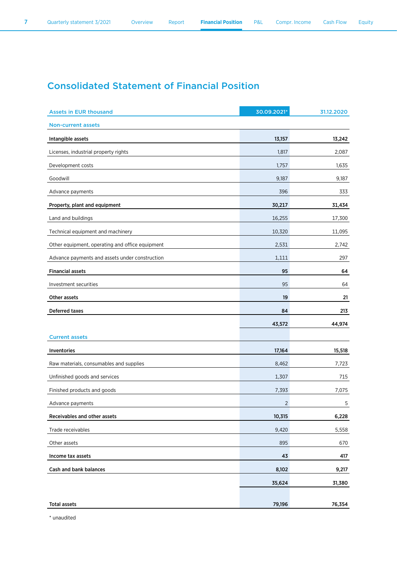### Consolidated Statement of Financial Position

| <b>Assets in EUR thousand</b>                   | 30.09.2021* | 31.12.2020 |
|-------------------------------------------------|-------------|------------|
| <b>Non-current assets</b>                       |             |            |
| Intangible assets                               | 13,157      | 13,242     |
| Licenses, industrial property rights            | 1,817       | 2,087      |
| Development costs                               | 1,757       | 1,635      |
| Goodwill                                        | 9,187       | 9,187      |
| Advance payments                                | 396         | 333        |
| Property, plant and equipment                   | 30,217      | 31,434     |
| Land and buildings                              | 16,255      | 17,300     |
| Technical equipment and machinery               | 10,320      | 11,095     |
| Other equipment, operating and office equipment | 2,531       | 2,742      |
| Advance payments and assets under construction  | 1,111       | 297        |
| <b>Financial assets</b>                         | 95          | 64         |
| Investment securities                           | 95          | 64         |
| Other assets                                    | 19          | 21         |
| <b>Deferred taxes</b>                           | 84          | 213        |
|                                                 | 43,572      | 44,974     |
| <b>Current assets</b>                           |             |            |
| Inventories                                     | 17,164      | 15,518     |
| Raw materials, consumables and supplies         | 8,462       | 7,723      |
| Unfinished goods and services                   | 1,307       | 715        |
| Finished products and goods                     | 7,393       | 7,075      |
| Advance payments                                | 2           | 5          |
| Receivables and other assets                    | 10,315      | 6,228      |
| Trade receivables                               | 9,420       | 5,558      |
| Other assets                                    | 895         | 670        |
| Income tax assets                               | 43          | 417        |
| Cash and bank balances                          | 8,102       | 9,217      |
|                                                 | 35,624      | 31,380     |
|                                                 |             |            |
| <b>Total assets</b>                             | 79,196      | 76,354     |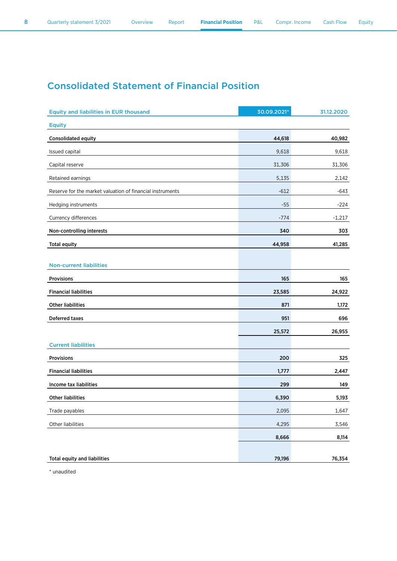### Consolidated Statement of Financial Position

| <b>Equity and liabilities in EUR thousand</b>             | 30.09.2021* | 31.12.2020 |
|-----------------------------------------------------------|-------------|------------|
| <b>Equity</b>                                             |             |            |
| Consolidated equity                                       | 44,618      | 40,982     |
| Issued capital                                            | 9,618       | 9,618      |
| Capital reserve                                           | 31,306      | 31,306     |
| Retained earnings                                         | 5,135       | 2,142      |
| Reserve for the market valuation of financial instruments | $-612$      | -643       |
| Hedging instruments                                       | $-55$       | $-224$     |
| Currency differences                                      | $-774$      | $-1,217$   |
| Non-controlling interests                                 | 340         | 303        |
| <b>Total equity</b>                                       | 44,958      | 41,285     |
|                                                           |             |            |
| <b>Non-current liabilities</b>                            |             |            |
| Provisions                                                | 165         | 165        |
| <b>Financial liabilities</b>                              | 23,585      | 24,922     |
| <b>Other liabilities</b>                                  | 871         | 1,172      |
| <b>Deferred taxes</b>                                     | 951         | 696        |
|                                                           | 25,572      | 26,955     |
| <b>Current liabilities</b>                                |             |            |
| Provisions                                                | 200         | 325        |
| <b>Financial liabilities</b>                              | 1,777       | 2,447      |
| Income tax liabilities                                    | 299         | 149        |
| <b>Other liabilities</b>                                  | 6,390       | 5,193      |
| Trade payables                                            | 2,095       | 1,647      |
| Other liabilities                                         | 4,295       | 3,546      |
|                                                           | 8,666       | 8,114      |
|                                                           |             |            |
| <b>Total equity and liabilities</b>                       | 79,196      | 76,354     |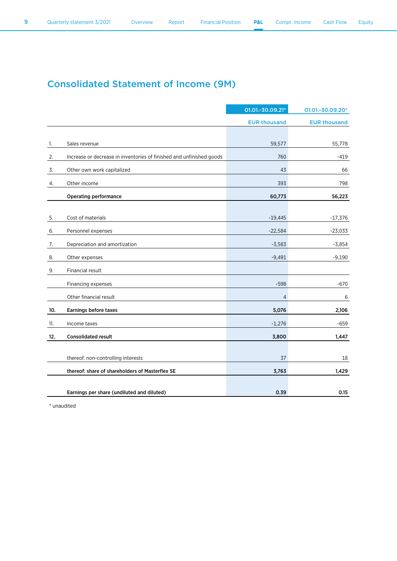### Consolidated Statement of Income (9M)

|     |                                                                      | 01.01.-30.09.21*    | 01.01.-30.09.20*    |
|-----|----------------------------------------------------------------------|---------------------|---------------------|
|     |                                                                      | <b>EUR thousand</b> | <b>EUR thousand</b> |
|     |                                                                      |                     |                     |
| 1.  | Sales revenue                                                        | 59,577              | 55,778              |
| 2.  | Increase or decrease in inventories of finished and unfinished goods | 760                 | $-419$              |
| 3.  | Other own work capitalized                                           | 43                  | 66                  |
| 4.  | Other income                                                         | 393                 | 798                 |
|     | <b>Operating performance</b>                                         | 60,773              | 56,223              |
|     |                                                                      |                     |                     |
| 5.  | Cost of materials                                                    | $-19,445$           | $-17,376$           |
| 6.  | Personnel expenses                                                   | $-22,584$           | $-23,033$           |
| 7.  | Depreciation and amortization                                        | $-3,583$            | $-3,854$            |
| 8.  | Other expenses                                                       | $-9,491$            | $-9,190$            |
| 9.  | Financial result                                                     |                     |                     |
|     | Financing expenses                                                   | $-598$              | $-670$              |
|     | Other financial result                                               | $\overline{4}$      | 6                   |
| 10. | Earnings before taxes                                                | 5,076               | 2,106               |
| 11. | Income taxes                                                         | $-1,276$            | $-659$              |
| 12. | <b>Consolidated result</b>                                           | 3,800               | 1,447               |
|     |                                                                      |                     |                     |
|     | thereof: non-controlling interests                                   | 37                  | 18                  |
|     | thereof: share of shareholders of Masterflex SE                      | 3,763               | 1,429               |
|     |                                                                      |                     |                     |
|     | Earnings per share (undiluted and diluted)                           | 0.39                | 0.15                |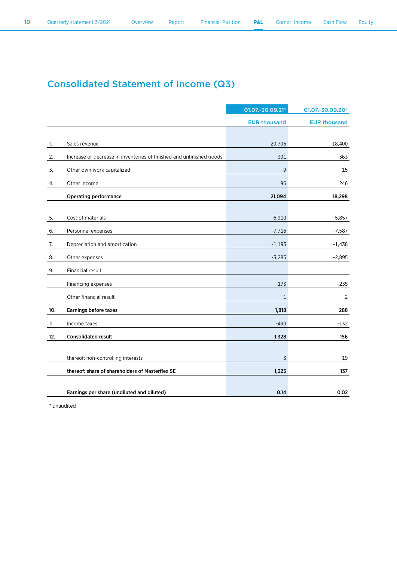### Consolidated Statement of Income (Q3)

|     |                                                                      | 01.07.-30.09.21*    | 01.07.-30.09.20*    |
|-----|----------------------------------------------------------------------|---------------------|---------------------|
|     |                                                                      | <b>EUR thousand</b> | <b>EUR thousand</b> |
|     |                                                                      |                     |                     |
| 1.  | Sales revenue                                                        | 20,706              | 18,400              |
| 2.  | Increase or decrease in inventories of finished and unfinished goods | 301                 | -363                |
| 3.  | Other own work capitalized                                           | -9                  | 15                  |
| 4.  | Other income                                                         | 96                  | 246                 |
|     | <b>Operating performance</b>                                         | 21,094              | 18,298              |
|     |                                                                      |                     |                     |
| 5.  | Cost of materials                                                    | $-6,910$            | $-5,857$            |
| 6.  | Personnel expenses                                                   | $-7,716$            | $-7,587$            |
| 7.  | Depreciation and amortization                                        | $-1,193$            | $-1,438$            |
| 8.  | Other expenses                                                       | $-3,285$            | $-2,895$            |
| 9.  | Financial result                                                     |                     |                     |
|     | Financing expenses                                                   | $-173$              | $-235$              |
|     | Other financial result                                               | $\mathbf{1}$        | 2                   |
| 10. | Earnings before taxes                                                | 1,818               | 288                 |
| 11. | Income taxes                                                         | $-490$              | $-132$              |
| 12. | <b>Consolidated result</b>                                           | 1,328               | 156                 |
|     |                                                                      |                     |                     |
|     | thereof: non-controlling interests                                   | 3                   | 19                  |
|     | thereof: share of shareholders of Masterflex SE                      | 1,325               | 137                 |
|     |                                                                      |                     |                     |
|     | Earnings per share (undiluted and diluted)                           | 0.14                | 0.02                |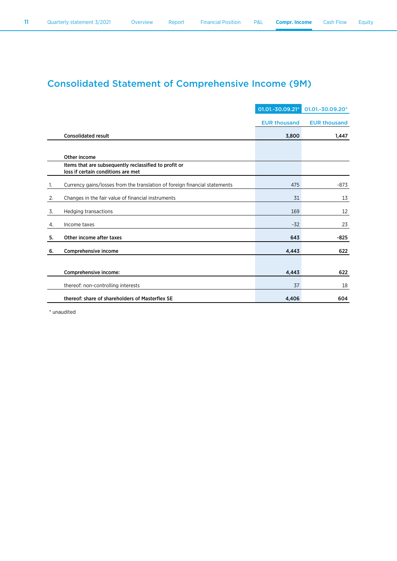### Consolidated Statement of Comprehensive Income (9M)

|    |                                                                                             | 01.01.-30.09.21*    | 01.01.-30.09.20*    |
|----|---------------------------------------------------------------------------------------------|---------------------|---------------------|
|    |                                                                                             | <b>EUR thousand</b> | <b>EUR thousand</b> |
|    | <b>Consolidated result</b>                                                                  | 3,800               | 1,447               |
|    |                                                                                             |                     |                     |
|    | Other income                                                                                |                     |                     |
|    | Items that are subsequently reclassified to profit or<br>loss if certain conditions are met |                     |                     |
| 1. | Currency gains/losses from the translation of foreign financial statements                  | 475                 | $-873$              |
| 2. | Changes in the fair value of financial instruments                                          | 31                  | 13                  |
| 3. | Hedging transactions                                                                        | 169                 | 12                  |
| 4. | Income taxes                                                                                | $-32$               | 23                  |
| 5. | Other income after taxes                                                                    | 643                 | -825                |
| 6. | Comprehensive income                                                                        | 4,443               | 622                 |
|    |                                                                                             |                     |                     |
|    | Comprehensive income:                                                                       | 4,443               | 622                 |
|    | thereof: non-controlling interests                                                          | 37                  | 18                  |
|    | thereof: share of shareholders of Masterflex SE                                             | 4,406               | 604                 |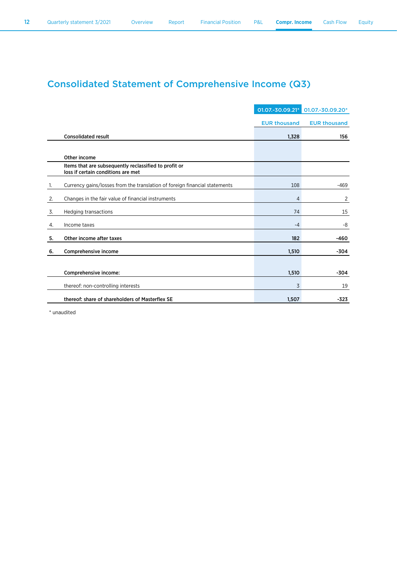### Consolidated Statement of Comprehensive Income (Q3)

|    |                                                                                             | 01.07.-30.09.21*    | 01.07.-30.09.20*    |
|----|---------------------------------------------------------------------------------------------|---------------------|---------------------|
|    |                                                                                             | <b>EUR thousand</b> | <b>EUR thousand</b> |
|    | <b>Consolidated result</b>                                                                  | 1,328               | 156                 |
|    |                                                                                             |                     |                     |
|    | Other income                                                                                |                     |                     |
|    | Items that are subsequently reclassified to profit or<br>loss if certain conditions are met |                     |                     |
| 1. | Currency gains/losses from the translation of foreign financial statements                  | 108                 | $-469$              |
| 2. | Changes in the fair value of financial instruments                                          | 4                   | 2                   |
| 3. | <b>Hedging transactions</b>                                                                 | 74                  | 15                  |
| 4. | Income taxes                                                                                | $-4$                | -8                  |
| 5. | Other income after taxes                                                                    | 182                 | -460                |
| 6. | Comprehensive income                                                                        | 1,510               | -304                |
|    |                                                                                             |                     |                     |
|    | Comprehensive income:                                                                       | 1,510               | $-304$              |
|    | thereof: non-controlling interests                                                          | 3                   | 19                  |
|    | thereof: share of shareholders of Masterflex SE                                             | 1,507               | $-323$              |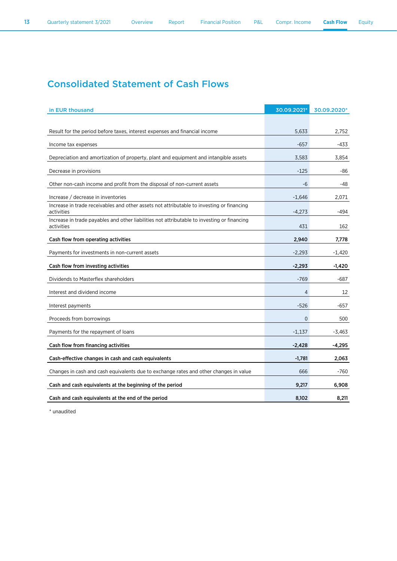### Consolidated Statement of Cash Flows

| in EUR thousand                                                                                           | 30.09.2021* | 30.09.2020* |
|-----------------------------------------------------------------------------------------------------------|-------------|-------------|
|                                                                                                           |             |             |
| Result for the period before taxes, interest expenses and financial income                                | 5,633       | 2,752       |
| Income tax expenses                                                                                       | $-657$      | $-433$      |
| Depreciation and amortization of property, plant and equipment and intangible assets                      | 3,583       | 3,854       |
| Decrease in provisions                                                                                    | $-125$      | -86         |
| Other non-cash income and profit from the disposal of non-current assets                                  | -6          | -48         |
| Increase / decrease in inventories                                                                        | $-1,646$    | 2,071       |
| Increase in trade receivables and other assets not attributable to investing or financing<br>activities   | $-4,273$    | -494        |
| Increase in trade payables and other liabilities not attributable to investing or financing<br>activities | 431         | 162         |
| Cash flow from operating activities                                                                       | 2,940       | 7,778       |
| Payments for investments in non-current assets                                                            | $-2,293$    | $-1,420$    |
| Cash flow from investing activities                                                                       | $-2,293$    | $-1,420$    |
| Dividends to Masterflex shareholders                                                                      | $-769$      | -687        |
| Interest and dividend income                                                                              | 4           | 12          |
| Interest payments                                                                                         | $-526$      | -657        |
| Proceeds from borrowings                                                                                  | $\mathbf 0$ | 500         |
| Payments for the repayment of loans                                                                       | $-1,137$    | $-3,463$    |
| Cash flow from financing activities                                                                       | $-2,428$    | -4,295      |
| Cash-effective changes in cash and cash equivalents                                                       | $-1,781$    | 2,063       |
| Changes in cash and cash equivalents due to exchange rates and other changes in value                     | 666         | -760        |
| Cash and cash equivalents at the beginning of the period                                                  | 9,217       | 6,908       |
| Cash and cash equivalents at the end of the period                                                        | 8,102       | 8,211       |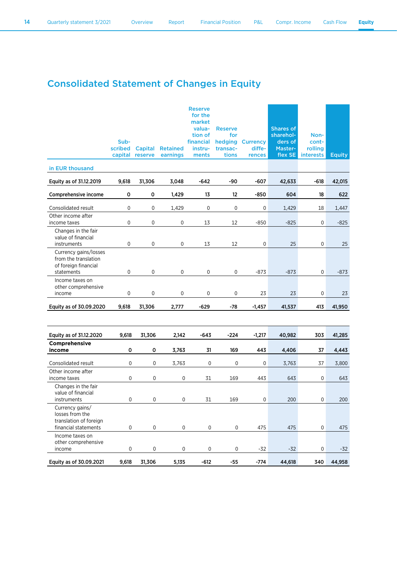### Consolidated Statement of Changes in Equity

|                                                                                      | Sub-<br>scribed  | Capital<br>capital reserve | <b>Retained</b><br>earnings | <b>Reserve</b><br>for the<br>market<br>valua-<br>tion of<br>financial<br>instru-<br>ments | <b>Reserve</b><br>for<br>hedging<br>transac-<br>tions | <b>Currency</b><br>diffe-<br>rences | <b>Shares of</b><br>sharehol-<br>ders of<br>Master-<br>flex SE | Non-<br>cont-<br>rolling<br><b>interests</b> | <b>Equity</b> |
|--------------------------------------------------------------------------------------|------------------|----------------------------|-----------------------------|-------------------------------------------------------------------------------------------|-------------------------------------------------------|-------------------------------------|----------------------------------------------------------------|----------------------------------------------|---------------|
| in EUR thousand                                                                      |                  |                            |                             |                                                                                           |                                                       |                                     |                                                                |                                              |               |
| Equity as of 31.12.2019                                                              | 9,618            | 31,306                     | 3,048                       | $-642$                                                                                    | -90                                                   | $-607$                              | 42,633                                                         | $-618$                                       | 42,015        |
| Comprehensive income                                                                 | 0                | 0                          | 1,429                       | 13                                                                                        | 12                                                    | $-850$                              | 604                                                            | 18                                           | 622           |
| Consolidated result                                                                  | 0                | $\pmb{0}$                  | 1,429                       | $\mathbf 0$                                                                               | 0                                                     | 0                                   | 1,429                                                          | 18                                           | 1,447         |
| Other income after<br>income taxes                                                   | 0                | 0                          | 0                           | 13                                                                                        | 12                                                    | $-850$                              | $-825$                                                         | 0                                            | $-825$        |
| Changes in the fair<br>value of financial<br>instruments                             | $\pmb{0}$        | $\pmb{0}$                  | 0                           | 13                                                                                        | 12                                                    | 0                                   | 25                                                             | 0                                            | 25            |
| Currency gains/losses<br>from the translation<br>of foreign financial<br>statements  | $\pmb{0}$        | $\pmb{0}$                  | 0                           | 0                                                                                         | 0                                                     | $-873$                              | $-873$                                                         | 0                                            | $-873$        |
| Income taxes on<br>other comprehensive<br>income                                     | 0                | 0                          | $\mathbf 0$                 | 0                                                                                         | $\mathbf 0$                                           | 23                                  | 23                                                             | 0                                            | 23            |
| Equity as of 30.09.2020                                                              | 9,618            | 31,306                     | 2,777                       | $-629$                                                                                    | $-78$                                                 | $-1,457$                            | 41,537                                                         | 413                                          | 41,950        |
|                                                                                      |                  |                            |                             |                                                                                           |                                                       |                                     |                                                                |                                              |               |
| Equity as of 31.12.2020                                                              | 9,618            | 31,306                     | 2,142                       | $-643$                                                                                    | $-224$                                                | $-1,217$                            | 40,982                                                         | 303                                          | 41,285        |
| Comprehensive<br>income                                                              | 0                | $\mathsf{o}\xspace$        | 3,763                       | 31                                                                                        | 169                                                   | 443                                 | 4,406                                                          | 37                                           | 4,443         |
| Consolidated result                                                                  | 0                | $\mathbf 0$                | 3,763                       | 0                                                                                         | 0                                                     | 0                                   | 3,763                                                          | 37                                           | 3,800         |
| Other income after                                                                   |                  |                            |                             |                                                                                           |                                                       |                                     |                                                                |                                              |               |
| income taxes<br>Changes in the fair<br>value of financial<br>instruments             | $\mathbf 0$<br>0 | 0<br>$\pmb{0}$             | $\pmb{0}$<br>0              | 31<br>31                                                                                  | 169<br>169                                            | 443<br>0                            | 643<br>200                                                     | 0<br>0                                       | 643<br>200    |
| Currency gains/<br>losses from the<br>translation of foreign<br>financial statements | $\pmb{0}$        | $\mathsf{O}\xspace$        | $\mathsf{O}$                | 0                                                                                         | $\mathsf{O}$                                          | 475                                 | 475                                                            | $\mathsf{O}\xspace$                          | 475           |
| Income taxes on<br>other comprehensive<br>income                                     | 0                | 0                          | $\mathsf{O}\xspace$         | 0                                                                                         | $\mathsf{O}\xspace$                                   | $-32$                               | $-32$                                                          | $\mathsf{O}\xspace$                          | $-32$         |
| Equity as of 30.09.2021                                                              | 9,618            | 31,306                     | 5,135                       | $-612$                                                                                    | $-55$                                                 | $-774$                              | 44,618                                                         | 340                                          | 44,958        |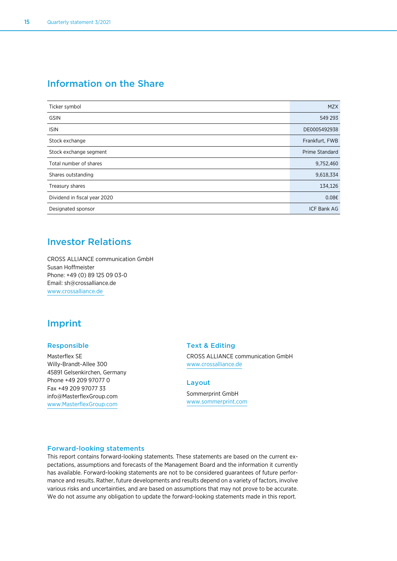### Information on the Share

| Ticker symbol                | <b>MZX</b>         |
|------------------------------|--------------------|
| <b>GSIN</b>                  | 549 293            |
| <b>ISIN</b>                  | DE0005492938       |
| Stock exchange               | Frankfurt, FWB     |
| Stock exchange segment       | Prime Standard     |
| Total number of shares       | 9,752,460          |
| Shares outstanding           | 9,618,334          |
| Treasury shares              | 134,126            |
| Dividend in fiscal year 2020 | 0.086              |
| Designated sponsor           | <b>ICF Bank AG</b> |

### Investor Relations

CROSS ALLIANCE communication GmbH Susan Hoffmeister Phone: +49 (0) 89 125 09 03-0 Email: sh@crossalliance.de www.crossalliance.de

### Imprint

#### Responsible

Masterflex SE Willy-Brandt-Allee 300 45891 Gelsenkirchen, Germany Phone +49 209 97077 0 Fax +49 209 97077 33 info@MasterflexGroup.com www.MasterflexGroup.com

#### Text & Editing

CROSS ALLIANCE communication GmbH www.crossalliance.de

#### Layout

Sommerprint GmbH www.sommerprint.com

#### Forward-looking statements

This report contains forward-looking statements. These statements are based on the current expectations, assumptions and forecasts of the Management Board and the information it currently has available. Forward-looking statements are not to be considered guarantees of future performance and results. Rather, future developments and results depend on a variety of factors, involve various risks and uncertainties, and are based on assumptions that may not prove to be accurate. We do not assume any obligation to update the forward-looking statements made in this report.